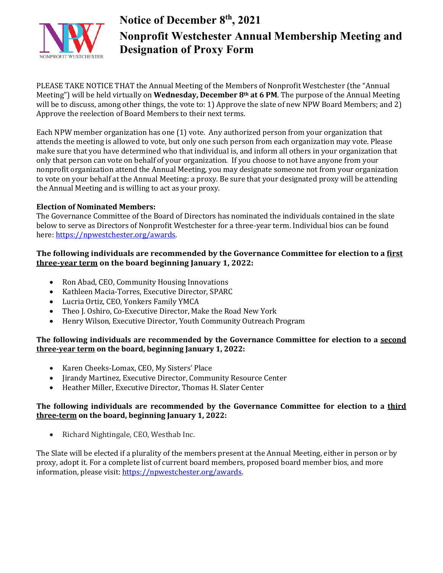

# **Notice of December 8th, 2021 Nonprofit Westchester Annual Membership Meeting and Designation of Proxy Form**

PLEASE TAKE NOTICE THAT the Annual Meeting of the Members of Nonprofit Westchester (the "Annual Meeting") will be held virtually on **Wednesday, December 8th at 6 PM**. The purpose of the Annual Meeting will be to discuss, among other things, the vote to: 1) Approve the slate of new NPW Board Members; and 2) Approve the reelection of Board Members to their next terms.

Each NPW member organization has one (1) vote. Any authorized person from your organization that attends the meeting is allowed to vote, but only one such person from each organization may vote. Please make sure that you have determined who that individual is, and inform all others in your organization that only that person can vote on behalf of your organization. If you choose to not have anyone from your nonprofit organization attend the Annual Meeting, you may designate someone not from your organization to vote on your behalf at the Annual Meeting: a proxy. Be sure that your designated proxy will be attending the Annual Meeting and is willing to act as your proxy.

#### **Election of Nominated Members:**

The Governance Committee of the Board of Directors has nominated the individuals contained in the slate below to serve as Directors of Nonprofit Westchester for a three-year term. Individual bios can be found here: [https://npwestchester.org/awards.](https://npwestchester.org/awards)

#### **The following individuals are recommended by the Governance Committee for election to a first three-year term on the board beginning January 1, 2022:**

- Ron Abad, CEO, Community Housing Innovations
- Kathleen Macia-Torres, Executive Director, SPARC
- Lucria Ortiz, CEO, Yonkers Family YMCA
- Theo J. Oshiro, Co-Executive Director, Make the Road New York<br>• Henry Wilson, Executive Director, Youth Community Outreach F
- Henry Wilson, Executive Director, Youth Community Outreach Program

#### **The following individuals are recommended by the Governance Committee for election to a second three-year term on the board, beginning January 1, 2022:**

- Karen Cheeks-Lomax, CEO, My Sisters' Place
- Jirandy Martinez, Executive Director, Community Resource Center
- Heather Miller, Executive Director, Thomas H. Slater Center

#### **The following individuals are recommended by the Governance Committee for election to a third three-term on the board, beginning January 1, 2022:**

• Richard Nightingale, CEO, Westhab Inc.

The Slate will be elected if a plurality of the members present at the Annual Meeting, either in person or by proxy, adopt it. For a complete list of current board members, proposed board member bios, and more information, please visit: [https://npwestchester.org/awards.](https://npwestchester.org/awards)